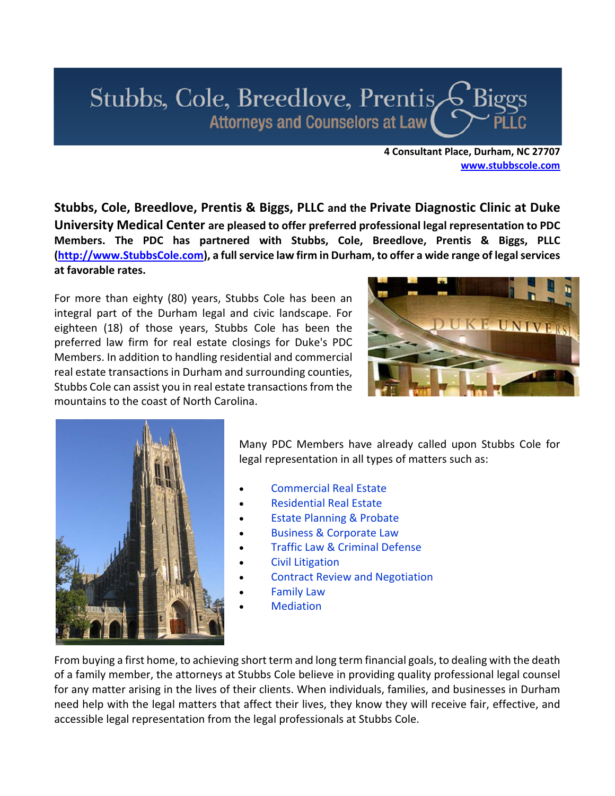

**4 Consultant Place, Durham, NC 27707 www.stubbscole.com**

**Stubbs, Cole, Breedlove, Prentis & Biggs, PLLC and the Private Diagnostic Clinic at Duke University Medical Center are pleased to offer preferred professional legal representation to PDC Members. The PDC has partnered with Stubbs, Cole, Breedlove, Prentis & Biggs, PLLC (http://www.StubbsCole.com), a fullservice law firm in Durham, to offer a wide range of legalservices at favorable rates.**

For more than eighty (80) years, Stubbs Cole has been an integral part of the Durham legal and civic landscape. For eighteen (18) of those years, Stubbs Cole has been the preferred law firm for real estate closings for Duke's PDC Members. In addition to handling residential and commercial real estate transactions in Durham and surrounding counties, Stubbs Cole can assist you in real estate transactions from the mountains to the coast of North Carolina.





Many PDC Members have already called upon Stubbs Cole for legal representation in all types of matters such as:

- Commercial Real Estate
- Residential Real Estate
- Estate Planning & Probate
- Business & Corporate Law
- Traffic Law & Criminal Defense
- Civil Litigation
- Contract Review and Negotiation
- Family Law
- Mediation

From buying a first home, to achieving short term and long term financial goals, to dealing with the death of a family member, the attorneys at Stubbs Cole believe in providing quality professional legal counsel for any matter arising in the lives of their clients. When individuals, families, and businesses in Durham need help with the legal matters that affect their lives, they know they will receive fair, effective, and accessible legal representation from the legal professionals at Stubbs Cole.